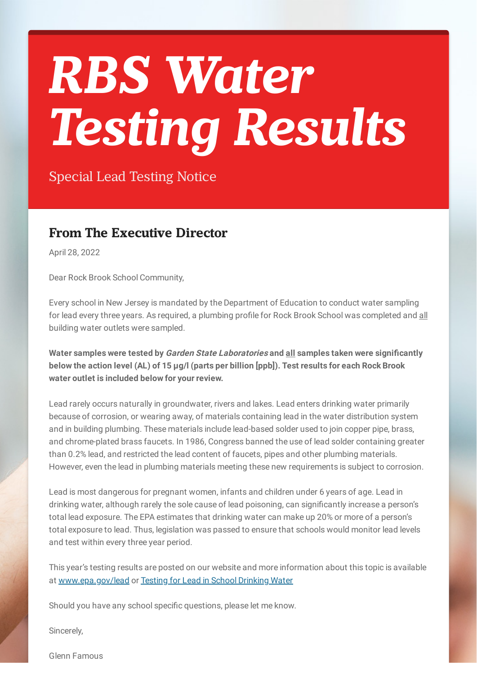## *RBS Water Testing Results*

Special Lead Testing Notice

## **From The Executive Director**

April 28, 2022

Dear Rock Brook School Community,

Every school in New Jersey is mandated by the Department of Education to conduct water sampling for lead every three years. As required, a plumbing profile for Rock Brook School was completed and all building water outlets were sampled.

**Water samples were tested by Garden State Laboratories and all samples taken were significantly below the action level (AL) of 15 µg/l (parts per billion [ppb]). Test results for each Rock Brook water outlet is included below for your review.**

Lead rarely occurs naturally in groundwater, rivers and lakes. Lead enters drinking water primarily because of corrosion, or wearing away, of materials containing lead in the water distribution system and in building plumbing. These materials include lead-based solder used to join copper pipe, brass, and chrome-plated brass faucets. In 1986, Congress banned the use of lead solder containing greater than 0.2% lead, and restricted the lead content of faucets, pipes and other plumbing materials. However, even the lead in plumbing materials meeting these new requirements is subject to corrosion.

Lead is most dangerous for pregnant women, infants and children under 6 years of age. Lead in drinking water, although rarely the sole cause of lead poisoning, can significantly increase a person's total lead exposure. The EPA estimates that drinking water can make up 20% or more of a person's total exposure to lead. Thus, legislation was passed to ensure that schools would monitor lead levels and test within every three year period.

This year's testing results are posted on our website and more information about this topic is available at [www.epa.gov/lead](http://www.epa.gov/lead) or Testing for Lead in School [Drinking](https://www.nj.gov/education/lead/) Water

Should you have any school specific questions, please let me know.

Sincerely,

Glenn Famous